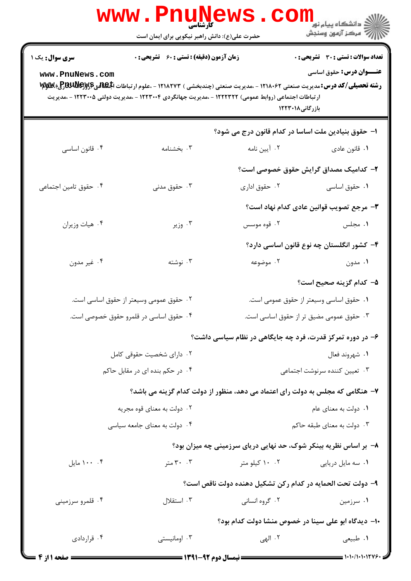|                                                                                    | <b>www.PnuNews</b><br><b>َ كَاْرْشْنَاسَى</b><br>حضرت علی(ع): دانش راهبر نیکویی برای ایمان است                                                                                                                                                                        |                                                                  | الا دانشگاه پيام نور<br>الا دانشگاه پيام نور<br>الا                             |  |
|------------------------------------------------------------------------------------|-----------------------------------------------------------------------------------------------------------------------------------------------------------------------------------------------------------------------------------------------------------------------|------------------------------------------------------------------|---------------------------------------------------------------------------------|--|
| <b>سری سوال :</b> یک ۱<br>www.PnuNews.com                                          | <b>زمان آزمون (دقیقه) : تستی : 60 ٪ تشریحی : 0</b>                                                                                                                                                                                                                    |                                                                  | <b>تعداد سوالات : تستی : 30 ٪ تشریحی : 0</b><br><b>عنـــوان درس:</b> حقوق اساسی |  |
|                                                                                    | <b>رشته تحصیلی/کد درس:</b> مدیریت صنعتی ۱۲۱۸۰۶۲ - ،مدیریت صنعتی (چندبخشی ) ۱۲۱۸۲۷۳ - ،علوم ارتباطات ا <b>بگهان<sub>گ</sub>گرلاپگاپاکلاپاکل</b> اپکاپاکلاپاکلا<br>ار تباطات اجتماعی (روابط عمومی) ۱۲۲۲۳۲۲ - ،مدیریت جهانگردی ۱۲۲۳۰۰۴ - ،مدیریت دولتی ۱۲۲۳۰۰۵ - ،مدیریت | بازرگانی۱۲۲۳۰۱۸                                                  |                                                                                 |  |
|                                                                                    |                                                                                                                                                                                                                                                                       | ا– حقوق بنیادین ملت اساسا در کدام قانون درج می شود؟              |                                                                                 |  |
| ۰۴ قانون اساسي                                                                     | ۰۳ بخشنامه                                                                                                                                                                                                                                                            | ۰۲ آیین نامه                                                     | ۰۱ قانون عادي                                                                   |  |
|                                                                                    |                                                                                                                                                                                                                                                                       |                                                                  | ۲– کدامیک مصداق گرایش حقوق خصوصی است؟                                           |  |
| ۰۴ حقوق تامین اجتماعی                                                              | ۰۳ حقوق مدنی                                                                                                                                                                                                                                                          | ۰۲ حقوق اداری                                                    | ۰۱ حقوق اساسی                                                                   |  |
|                                                                                    |                                                                                                                                                                                                                                                                       |                                                                  | ٣- مرجع تصويب قوانين عادي كدام نهاد است؟                                        |  |
| ۰۴ هيات وزيران                                                                     | ۰۳ وزير                                                                                                                                                                                                                                                               | ۰۲ قوه موسس                                                      | ۰۱ مجلس                                                                         |  |
|                                                                                    |                                                                                                                                                                                                                                                                       |                                                                  | ۴– کشور انگلستان چه نوع قانون اساسی دارد؟                                       |  |
| ۰۴ غیر مدون                                                                        | ۰۳ نوشته                                                                                                                                                                                                                                                              | ۰۲ موضوعه                                                        | ۰۱ مدون                                                                         |  |
|                                                                                    |                                                                                                                                                                                                                                                                       |                                                                  | ۵– کدام گزینه صحیح است؟                                                         |  |
|                                                                                    | ۰۲ حقوق عمومی وسیعتر از حقوق اساسی است.                                                                                                                                                                                                                               |                                                                  | ۰۱ حقوق اساسی وسیعتر از حقوق عمومی است.                                         |  |
| ۰۴ حقوق اساسی در قلمرو حقوق خصوصی است.<br>۰۳ حقوق عمومی مضیق تر از حقوق اساسی است. |                                                                                                                                                                                                                                                                       |                                                                  |                                                                                 |  |
|                                                                                    |                                                                                                                                                                                                                                                                       | ۶- در دوره تمرکز قدرت، فرد چه جایگاهی در نظام سیاسی داشت؟        |                                                                                 |  |
| ۰۲ دارای شخصیت حقوقی کامل                                                          |                                                                                                                                                                                                                                                                       | ۰۱ شهروند فعال                                                   |                                                                                 |  |
|                                                                                    | ۰۴ در حکم بنده ای در مقابل حاکم                                                                                                                                                                                                                                       | ۰۳ تعیین کننده سرنوشت اجتماعی                                    |                                                                                 |  |
|                                                                                    | ۷– هنگامی که مجلس به دولت رای اعتماد می دهد، منظور از دولت کدام گزینه می باشد؟                                                                                                                                                                                        |                                                                  |                                                                                 |  |
|                                                                                    | ۰۲ دولت به معنای قوه مجریه                                                                                                                                                                                                                                            | ٠١ دولت به معناي عام                                             |                                                                                 |  |
|                                                                                    | ۰۴ دولت به معنای جامعه سیاسی                                                                                                                                                                                                                                          | ۰۳ دولت به معنای طبقه حاکم                                       |                                                                                 |  |
|                                                                                    |                                                                                                                                                                                                                                                                       | ٨- بر اساس نظریه بینکر شوک، حد نهایی دریای سرزمینی چه میزان بود؟ |                                                                                 |  |
| ۰۰ .۰۰ مايل                                                                        | ۰۰ ۳۰ متر                                                                                                                                                                                                                                                             | ۰۰ ۱۰ کیلو متر                                                   | ٠١ سه مايل دريايي                                                               |  |
|                                                                                    |                                                                                                                                                                                                                                                                       | ۹- دولت تحت الحمايه در كدام ركن تشكيل دهنده دولت ناقص است؟       |                                                                                 |  |
| ۰۴ قلمرو سرزمینی                                                                   | ۰۳ استقلال                                                                                                                                                                                                                                                            | ۰۲ گروه انسانی                                                   | ۰۱ سرزمین                                                                       |  |
|                                                                                    |                                                                                                                                                                                                                                                                       | ۱۰– دیدگاه ابو علی سینا در خصوص منشا دولت کدام بود؟              |                                                                                 |  |
| ۰۴ قراردادی                                                                        | ۰۳ اومانیستی                                                                                                                                                                                                                                                          | ۰۲ الهی                                                          | ١. طبيعي                                                                        |  |
| = 4 مفحه 11: 4 <b>=</b>                                                            | ـــــــــــــــ نيمسال ده م 92-1391 ــــــــــــ                                                                                                                                                                                                                      |                                                                  | = ۱・۱・/۱・۱・۱۲۷۶・                                                                |  |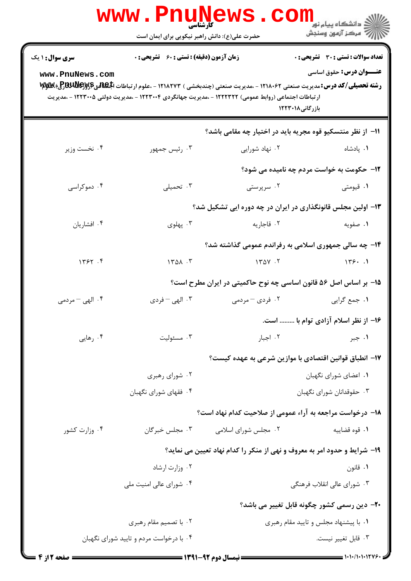|                                                                          | www . Phi<br>کارشناسی<br>حضرت علی(ع): دانش راهبر نیکویی برای ایمان است |                                                                                                      | ڪ دانشڪاه پيا <sub>م</sub> نور<br><mark>√</mark> مرڪز آزمون وسنڊش                                                                                                                                   |
|--------------------------------------------------------------------------|------------------------------------------------------------------------|------------------------------------------------------------------------------------------------------|-----------------------------------------------------------------------------------------------------------------------------------------------------------------------------------------------------|
| <b>سری سوال : ۱ یک</b>                                                   | <b>زمان آزمون (دقیقه) : تستی : 60 ٪ تشریحی : 0</b>                     |                                                                                                      | <b>تعداد سوالات : تستی : 30 ٪ تشریحی : 0</b>                                                                                                                                                        |
| www.PnuNews.com                                                          |                                                                        | ار تباطات اجتماعی (روابط عمومی) ۱۲۲۲۳۲۲ - ،مدیریت جهانگردی ۱۲۲۳۰۰۴ - ،مدیریت دولتی ۱۲۲۳۰۰۵ - ،مدیریت | <b>عنـــوان درس:</b> حقوق اساسی<br><b>رشته تحصیلی/کد درس:</b> مدیریت صنعتی ۱۲۱۸۰۶۲ - ،مدیریت صنعتی (چندبخشی ) ۱۲۱۸۲۷۳ - ،علوم ارتباطات ا <b>بگهان<sub>گ</sub>گرSUU) (P</b> کاپا<br>بازرگانی ۱۲۲۳۰۱۸ |
|                                                                          |                                                                        |                                                                                                      | 11- از نظر منتسکیو قوه مجریه باید در اختیار چه مقامی باشد؟                                                                                                                                          |
| ۰۴ نخست وزير                                                             | ۰۳ رئیس جمهور                                                          | ۰۲ نهاد شورایی                                                                                       | ٠١. پادشاه                                                                                                                                                                                          |
|                                                                          |                                                                        |                                                                                                      | <b>۱۲- حکومت به خواست مردم چه نامیده می شود؟</b>                                                                                                                                                    |
| ۰۴ دموکراسی                                                              | ۰۳ تحمیلی                                                              | ۰۲ سرپرستی                                                                                           | ۰۱ قیومتی                                                                                                                                                                                           |
|                                                                          |                                                                        |                                                                                                      | ۱۳- اولین مجلس قانونگذاری در ایران در چه دوره ایی تشکیل شد؟                                                                                                                                         |
| ۰۴ افشاريان                                                              | ۰۳ پهلوی                                                               | ۰۲ قاجاريه                                                                                           | ۰۱ صفویه                                                                                                                                                                                            |
|                                                                          |                                                                        |                                                                                                      | ۱۴- چه سالی جمهوری اسلامی به رفراندم عمومی گذاشته شد؟                                                                                                                                               |
| 1757.9                                                                   | 1401.7                                                                 | 1401.7                                                                                               | 155.1                                                                                                                                                                                               |
|                                                                          |                                                                        |                                                                                                      | ۱۵– بر اساس اصل ۵۶ قانون اساسی چه نوح حاکمیتی در ایران مطرح است؟                                                                                                                                    |
| ۰۴ الهی – مردمی                                                          | ۰۳ الهي – فردي                                                         | ۲. فردی – مردمی                                                                                      | ٠١ جمع گرايي                                                                                                                                                                                        |
|                                                                          |                                                                        |                                                                                                      | ۱۶- از نظر اسلام آزادی توام با  است.                                                                                                                                                                |
| ۰۴ رهایی                                                                 | ۰۳ مسئوليت                                                             | ۰۲ اجبار                                                                                             | ۰۱ جبر                                                                                                                                                                                              |
|                                                                          |                                                                        |                                                                                                      | ۱۷− انطباق قوانین اقتصادی با موازین شرعی به عهده کیست؟                                                                                                                                              |
|                                                                          | ۰۲ شورای رهبری                                                         |                                                                                                      | ۰۱ اعضای شورای نگهبان                                                                                                                                                                               |
|                                                                          | ۰۴ فقهای شورای نگهبان                                                  |                                                                                                      | ۰۳ حقوقدانان شورای نگهبان                                                                                                                                                                           |
|                                                                          |                                                                        |                                                                                                      | ۱۸− درخواست مراجعه به آراء عمومی از صلاحیت کدام نهاد است؟                                                                                                                                           |
| ۰۴ وزارت کشور                                                            | ۰۳ مجلس خبرگان                                                         | ۰۲ مجلس شورای اسلامی                                                                                 | ٠١ قوه قضاييه                                                                                                                                                                                       |
| ۱۹- شرایط و حدود امر به معروف و نهی از منکر را کدام نهاد تعیین می نماید؟ |                                                                        |                                                                                                      |                                                                                                                                                                                                     |
|                                                                          | ۰۲ وزارت ارشاد                                                         |                                                                                                      | ۰۱ قانون                                                                                                                                                                                            |
|                                                                          | ۰۴ شورای عالی امنیت ملی                                                |                                                                                                      | ۰۳ شورای عالی انقلاب فرهنگی                                                                                                                                                                         |
|                                                                          |                                                                        |                                                                                                      | <b>۲۰</b> - دین رسمی کشور چگونه قابل تغییر می باشد؟                                                                                                                                                 |
|                                                                          | ۰۲ با تصمیم مقام رهبری                                                 |                                                                                                      | ۰۱ با پیشنهاد مجلس و تایید مقام رهبری                                                                                                                                                               |
|                                                                          | ۰۴ با درخواست مردم و تایید شورای نگهبان                                |                                                                                                      | ۰۳ قابل تغيير نيست.                                                                                                                                                                                 |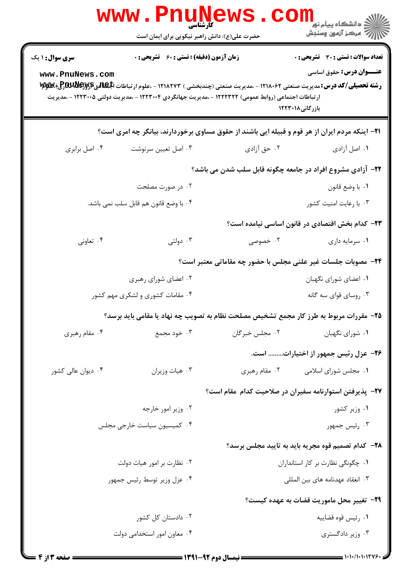|                                                                                                        | <b>WWW.PNUN</b><br>کارشناسی<br>حضرت علی(ع): دانش راهبر نیکویی برای ایمان است                                                                                                                                                       |                                                                      | ڪ دانشڪاه پيا <sub>م</sub> نور ■<br>/> مرڪز آزمون وسنڊش |  |  |  |
|--------------------------------------------------------------------------------------------------------|------------------------------------------------------------------------------------------------------------------------------------------------------------------------------------------------------------------------------------|----------------------------------------------------------------------|---------------------------------------------------------|--|--|--|
| سری سوال: ۱ یک                                                                                         | <b>زمان آزمون (دقیقه) : تستی : 60 ٪ تشریحی : 0</b>                                                                                                                                                                                 |                                                                      | <b>تعداد سوالات : تستي : 30 ٪ تشريحي : 0</b>            |  |  |  |
| www.PnuNews.com                                                                                        | <b>رشته تحصیلی/کد درس:</b> مدیریت صنعتی ۱۲۱۸۰۶۲ - ،مدیریت صنعتی (چندبخشی ) ۱۲۱۸۲۷۳ - ،علوم ارتباطات الجهاهی۷۷۷ و بالاپاکلا<br>ار تباطات اجتماعی (روابط عمومی) ۱۲۲۲۳۲۲ - ،مدیریت جهانگردی ۱۲۲۳۰۰۴ - ،مدیریت دولتی ۱۲۲۳۰۰۵ - ،مدیریت | بازرگانی۱۲۲۳۰۱۸                                                      | <b>عنـــوان درس:</b> حقوق اساسی                         |  |  |  |
| <b>۲۱</b> - اینکه مردم ایران از هر قوم و قبیله ایی باشند از حقوق مساوی برخوردارند، بیانگر چه امری است؟ |                                                                                                                                                                                                                                    |                                                                      |                                                         |  |  |  |
| ۰۴ اصل برابري                                                                                          | ۰۳ اصل تعيين سرنوشت                                                                                                                                                                                                                | ۰۲ حق آزادی                                                          | ۰۱ اصل آزادی                                            |  |  |  |
|                                                                                                        |                                                                                                                                                                                                                                    | ۲۲- آزادی مشروع افراد در جامعه چگونه قابل سلب شدن می باشد؟           |                                                         |  |  |  |
|                                                                                                        | ۰۲ در صورت مصلحت                                                                                                                                                                                                                   |                                                                      | ٠١. با وضع قانون                                        |  |  |  |
| ۰۴ با وضع قانون هم قابل سلب نمی باشد.                                                                  |                                                                                                                                                                                                                                    |                                                                      | ۰۳ با رعايت امنيت كشور                                  |  |  |  |
|                                                                                                        |                                                                                                                                                                                                                                    |                                                                      | ۲۳– کدام بخش اقتصادی در قانون اساسی نیامده است؟         |  |  |  |
| ۰۴ تعاونی                                                                                              | ۰۳ دولتی                                                                                                                                                                                                                           | ۰۲ خصوصی                                                             | ۰۱ سرمایه داری                                          |  |  |  |
|                                                                                                        |                                                                                                                                                                                                                                    | <b>۲۴</b> - مصوبات جلسات غیر علنی مجلس با حضور چه مقاماتی معتبر است؟ |                                                         |  |  |  |
|                                                                                                        | ۰۲ اعضای شورای رهبری                                                                                                                                                                                                               |                                                                      | ۰۱ اعضای شورای نگهبان                                   |  |  |  |
|                                                                                                        | ۰۴ مقامات کشوری و لشکری مهم کشور                                                                                                                                                                                                   | ۰۳ روسای قوای سه گانه                                                |                                                         |  |  |  |
|                                                                                                        | ۲۵- مقررات مربوط به طرز کار مجمع تشخیص مصلحت نظام به تصویب چه نهاد یا مقامی باید برسد؟                                                                                                                                             |                                                                      |                                                         |  |  |  |
| ۰۴ مقام رهبری                                                                                          | ۰۳ خود مجمع                                                                                                                                                                                                                        | ۰۲ مجلس خبرگان                                                       | ٠١ شوراي نگهبان                                         |  |  |  |
|                                                                                                        |                                                                                                                                                                                                                                    |                                                                      | ۲۶– عزل رئیس جمهور از اختیارات است.                     |  |  |  |
| ۰۴ دیوان عالی کشور                                                                                     | ۰۳ هيات وزيران                                                                                                                                                                                                                     | ۰۲ مقام رهبری                                                        | ۰۱ مجلس شورای اسلامی                                    |  |  |  |
|                                                                                                        |                                                                                                                                                                                                                                    | ۲۷– پذیرفتن استوارنامه سفیران در صلاحیت کدام مقام است؟               |                                                         |  |  |  |
|                                                                                                        | ۰۲ وزیر امور خارجه                                                                                                                                                                                                                 |                                                                      | ۰۱ وزیر کشور                                            |  |  |  |
|                                                                                                        | ۰۴ کمیسیون سیاست خارجی مجلس                                                                                                                                                                                                        | ۰۳ رئیس جمهور                                                        |                                                         |  |  |  |
|                                                                                                        |                                                                                                                                                                                                                                    |                                                                      | ۲۸- کدام تصمیم قوه مجریه باید به تایید مجلس برسد؟       |  |  |  |
| ۰۲ نظارت بر امور هيات دولت                                                                             |                                                                                                                                                                                                                                    | ٠١ چگونگی نظارت بر كار استانداران                                    |                                                         |  |  |  |
|                                                                                                        | ۰۴ عزل وزیر توسط رئیس جمهور                                                                                                                                                                                                        |                                                                      | ۰۳ انعقاد عهدنامه های بین المللی                        |  |  |  |
|                                                                                                        |                                                                                                                                                                                                                                    |                                                                      | <b>۲۹</b> – تغییر محل ماموریت قضات به عهده کیست؟        |  |  |  |
|                                                                                                        | ۰۲ دادستان کل کشور                                                                                                                                                                                                                 |                                                                      | ٠١ رئيس قوه قضاييه                                      |  |  |  |
|                                                                                                        | ۰۴ معاون امور استخدامی دولت                                                                                                                                                                                                        |                                                                      | ۰۳ وزیر دادگستری                                        |  |  |  |
|                                                                                                        |                                                                                                                                                                                                                                    |                                                                      |                                                         |  |  |  |